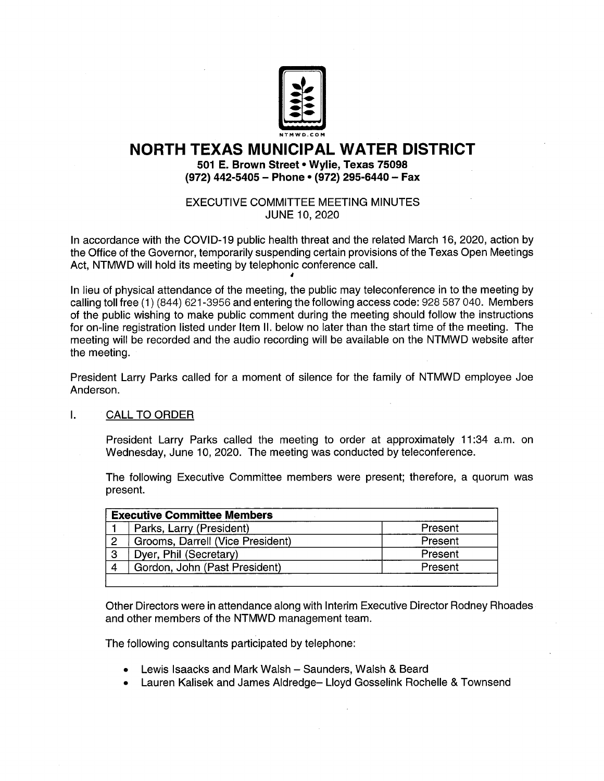

# NORTH TEXAS MUNICIPAL WATER DISTRICT

501 E. Brown Street• Wylie, Texas 75098 (972) 442-5405 - Phone • (972) 295-6440 - Fax

EXECUTIVE COMMITTEE MEETING MINUTES JUNE 10, 2020

In accordance with the COVID- 19 public health threat and the related March 16, 2020, action by the Office of the Governor, temporarily suspending certain provisions of the Texas Open Meetings Act, NTMWD will hold its meeting by telephonic conference call.

In lieu of physical attendance of the meeting, the public may teleconference in to the meeting by calling toll free (1) (844) 621-3956 and entering the following access code: 928 587 040. Members of the public wishing to make public comment during the meeting should follow the instructions for on-line registration listed under Item II. below no later than the start time of the meeting. The meeting will be recorded and the audio recording will be available on the NTMWD website after the meeting.

President Larry Parks called for a moment of silence for the family of NTMWD employee Joe Anderson.

#### $\mathbf{L}$ CALL TO ORDER

President Larry Parks called the meeting to order at approximately 11:34 a.m. on Wednesday, June 10, 2020. The meeting was conducted by teleconference.

The following Executive Committee members were present; therefore, a quorum was present.

| <b>Executive Committee Members</b> |                                  |         |
|------------------------------------|----------------------------------|---------|
|                                    | Parks, Larry (President)         | Present |
| -2                                 | Grooms, Darrell (Vice President) | Present |
| -3                                 | Dyer, Phil (Secretary)           | Present |
|                                    | Gordon, John (Past President)    | Present |
|                                    |                                  |         |

Other Directors were in attendance along with Interim Executive Director Rodney Rhoades and other members of the NTMWD management team.

The following consultants participated by telephone:

- Lewis lsaacks and Mark Walsh Saunders, Walsh & Beard
- Lauren Kalisek and James Aldredge— Lloyd Gosselink Rochelle & Townsend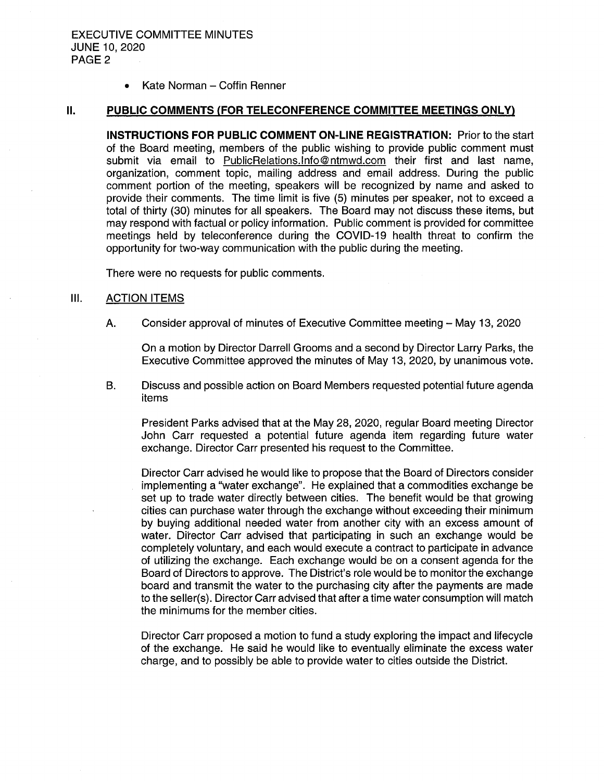$\bullet$ Kate Norman — Coffin Renner

## II. PUBLIC COMMENTS (FOR TELECONFERENCE COMMITTEE MEETINGS ONLY)

INSTRUCTIONS FOR PUBLIC COMMENT ON-LINE REGISTRATION: Prior to the start of the Board meeting, members of the public wishing to provide public comment must submit via email to PublicRelations. Info@ntmwd.com their first and last name, organization, comment topic, mailing address and email address. During the public comment portion of the meeting, speakers will be recognized by name and asked to provide their comments. The time limit is five (5) minutes per speaker, not to exceed a total of thirty ( 30) minutes for all speakers. The Board may not discuss these items, but may respond with factual or policy information. Public comment is provided for committee meetings held by teleconference during the COVID- 19 health threat to confirm the opportunity for two- way communication with the public during the meeting.

There were no requests for public comments.

## III. ACTION ITEMS

A. Consider approval of minutes of Executive Committee meeting — May 13, 2020

On a motion by Director Darrell Grooms and a second by Director Larry Parks, the Executive Committee approved the minutes of May 13, 2020, by unanimous vote.

B. Discuss and possible action on Board Members requested potential future agenda items

President Parks advised that at the May 28, 2020, regular Board meeting Director John Carr requested a potential future agenda item regarding future water exchange. Director Carr presented his request to the Committee.

Director Carr advised he would like to propose that the Board of Directors consider implementing a" water exchange". He explained that a commodities exchange be set up to trade water directly between cities. The benefit would be that growing cities can purchase water through the exchange without exceeding their minimum by buying additional needed water from another city with an excess amount of water. Director Carr advised that participating in such an exchange would be completely voluntary, and each would execute a contract to participate in advance of utilizing the exchange. Each exchange would be on a consent agenda for the Board of Directors to approve. The District's role would be to monitor the exchange board and transmit the water to the purchasing city after the payments are made to the seller(s). Director Carr advised that after a time water consumption will match the minimums for the member cities.

Director Carr proposed a motion to fund a study exploring the impact and lifecycle of the exchange. He said he would like to eventually eliminate the excess water charge, and to possibly be able to provide water to cities outside the District.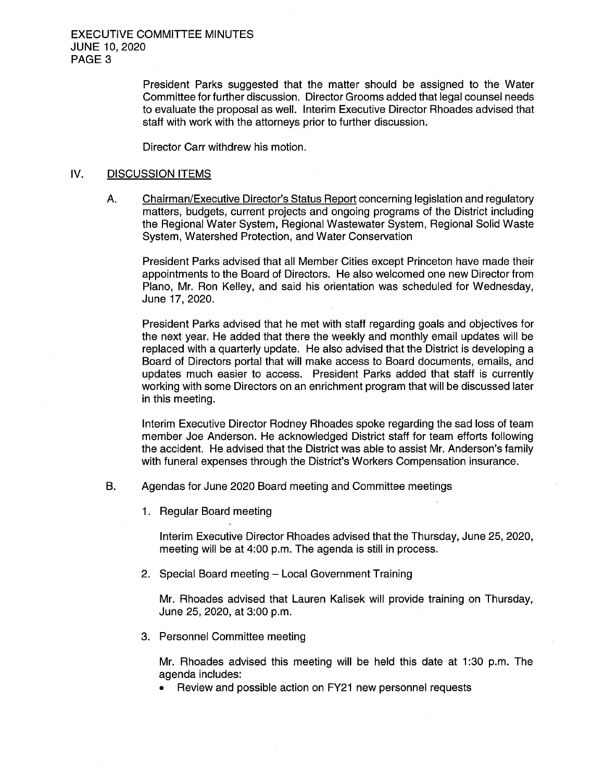President Parks suggested that the matter should be assigned to the Water Committee for further discussion. Director Grooms added that legal counsel needs to evaluate the proposal as well. Interim Executive Director Rhoades advised that staff with work with the attorneys prior to further discussion.

Director Carr withdrew his motion.

#### IV. DISCUSSION ITEMS

A. Chairman/Executive Director's Status Report concerning legislation and regulatory matters, budgets, current projects and ongoing programs of the District including the Regional Water System, Regional Wastewater System, Regional Solid Waste System, Watershed Protection, and Water Conservation

President Parks advised that all Member Cities except Princeton have made their appointments to the Board of Directors. He also welcomed one new Director from Plano, Mr. Ron Kelley, and said his orientation was scheduled for Wednesday, June 17, 2020.

President Parks advised that he met with staff regarding goals and objectives for the next year. He added that there the weekly and monthly email updates will be replaced with a quarterly update. He also advised that the District is developing a Board of Directors portal that will make access to Board documents, emails, and updates much easier to access. President Parks added that staff is currently working with some Directors on an enrichment program that will be discussed later in this meeting.

Interim Executive Director Rodney Rhoades spoke regarding the sad loss of team member Joe Anderson. He acknowledged District staff for team efforts following the accident. He advised that the District was able to assist Mr. Anderson's family with funeral expenses through the District's Workers Compensation insurance.

- B. Agendas for June 2020 Board meeting and Committee meetings
	- 1. Regular Board meeting

Interim Executive Director Rhoades advised that the Thursday, June 25, 2020, meeting will be at 4:00 p.m. The agenda is still in process.

2. Special Board meeting — Local Government Training

Mr. Rhoades advised that Lauren Kalisek will provide training on Thursday, June 25, 2020, at 3:00 p.m.

3. Personnel Committee meeting

Mr. Rhoades advised this meeting will be held this date at 1:30 p.m. The agenda includes:

• Review and possible action on FY21 new personnel requests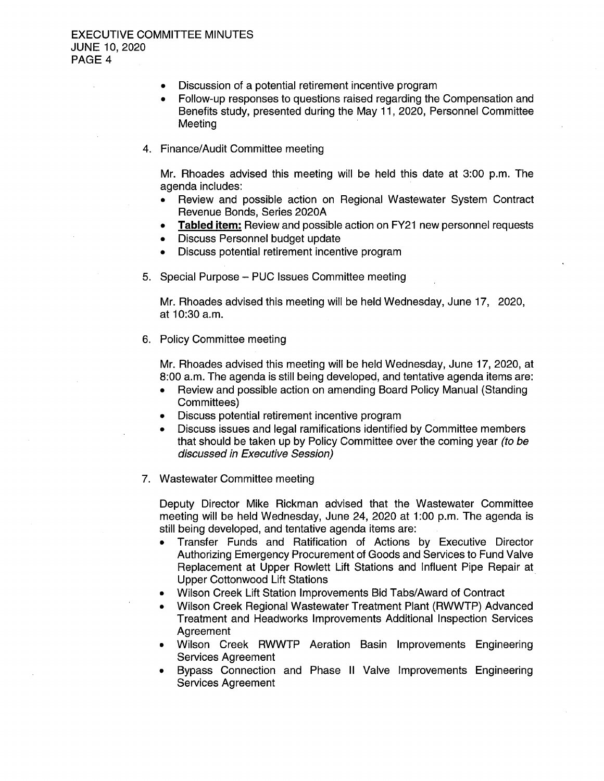- Discussion of a potential retirement incentive program
- Follow- up responses to questions raised regarding the Compensation and Benefits study, presented during the May 11, 2020, Personnel Committee Meeting
- 4. Finance/Audit Committee meeting

Mr. Rhoades advised this meeting will be held this date at 3:00 p.m. The agenda includes:

- Review and possible action on Regional Wastewater System Contract Revenue Bonds, Series 2020A
- Tabled item: Review and possible action on FY21 new personnel requests
- Discuss Personnel budget update
- Discuss potential retirement incentive program
- 5. Special Purpose PUC Issues Committee meeting

Mr. Rhoades advised this meeting will be held Wednesday, June 17, 2020, at 10:30 a. m.

6. Policy Committee meeting

Mr. Rhoades advised this meeting will be held Wednesday, June 17, 2020, at 8: 00 a. m. The agenda is still being developed, and tentative agenda items are:

- Review and possible action on amending Board Policy Manual ( Standing Committees)
- Discuss potential retirement incentive program
- Discuss issues and legal ramifications identified by Committee members that should be taken up by Policy Committee over the coming year (to be discussed in Executive Session)
- 7. Wastewater Committee meeting

Deputy Director Mike Rickman advised that the Wastewater Committee meeting will be held Wednesday, June 24, 2020 at 1:00 p.m. The agenda is still being developed, and tentative agenda items are:

- Transfer Funds and Ratification of Actions by Executive Director Authorizing Emergency Procurement of Goods and Services to Fund Valve Replacement at Upper Rowlett Lift Stations and Influent Pipe Repair at Upper Cottonwood Lift Stations
- Wilson Creek Lift Station Improvements Bid Tabs/Award of Contract
- Wilson Creek Regional Wastewater Treatment Plant ( RWWTP) Advanced Treatment and Headworks Improvements Additional Inspection Services **Agreement**
- Wilson Creek RWWTP Aeration Basin Improvements Engineering Services Agreement
- Bypass Connection and Phase II Valve Improvements Engineering Services Agreement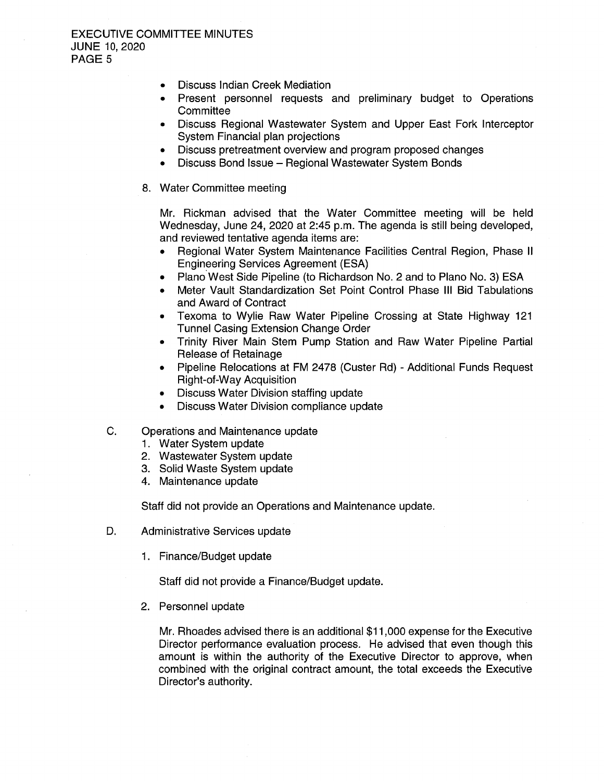# EXECUTIVE COMMITTEE MINUTES JUNE 10, 2020 PAGE 5

- Discuss Indian Creek Mediation  $\bullet$
- Present personnel requests and preliminary budget to Operations  $\bullet$ **Committee**
- Discuss Regional Wastewater System and Upper East Fork Interceptor System Financial plan projections
- Discuss pretreatment overview and program proposed changes
- Discuss Bond Issue— Regional Wastewater System Bonds
- 8. Water Committee meeting

Mr. Rickman advised that the Water Committee meeting will be held Wednesday, June 24, 2020 at 2:45 p.m. The agenda is still being developed, and reviewed tentative agenda items are:

- Regional Water System Maintenance Facilities Central Region, Phase II Engineering Services Agreement (ESA)
- Plano West Side Pipeline (to Richardson No. 2 and to Plano No. 3) ESA
- Meter Vault Standardization Set Point Control Phase III Bid Tabulations and Award of Contract
- Texoma to Wylie Raw Water Pipeline Crossing at State Highway 121  $\bullet$ Tunnel Casing Extension Change Order
- Trinity River Main Stem Pump Station and Raw Water Pipeline Partial Release of Retainage
- Pipeline Relocations at FM 2478 ( Custer Rd) Additional Funds Request Right-of-Way Acquisition
- Discuss Water Division staffing update
- Discuss Water Division compliance update
- C. Operations and Maintenance update
	- 1. Water System update
	- 2. Wastewater System update
	- 3. Solid Waste System update
	- 4. Maintenance update

Staff did not provide an Operations and Maintenance update.

- D. Administrative Services update
	- 1. Finance/Budget update

Staff did not provide a Finance/Budget update.

2. Personnel update

Mr. Rhoades advised there is an additional \$ 11, 000 expense for the Executive Director performance evaluation process. He advised that even though this amount is within the authority of the Executive Director to approve, when combined with the original contract amount, the total exceeds the Executive Director's authority.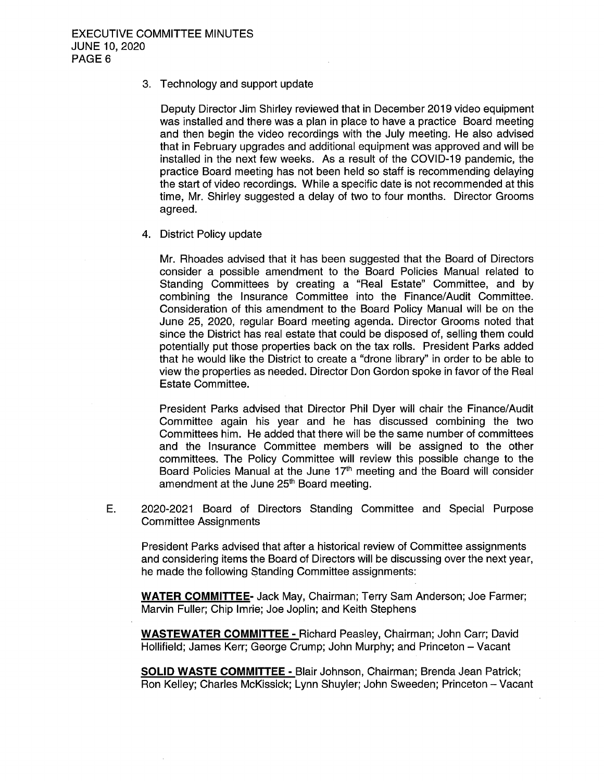# 3. Technology and support update

Deputy Director Jim Shirley reviewed that in December 2019 video equipment was installed and there was a plan in place to have a practice Board meeting and then begin the video recordings with the July meeting. He also advised that in February upgrades and additional equipment was approved and will be installed in the next few weeks. As a result of the COVID- 19 pandemic, the practice Board meeting has not been held so staff is recommending delaying the start of video recordings. While a specific date is not recommended at this time, Mr. Shirley suggested a delay of two to four months. Director Grooms agreed.

4. District Policy update

Mr. Rhoades advised that it has been suggested that the Board of Directors consider a possible amendment to the Board Policies Manual related to Standing Committees by creating a " Real Estate" Committee, and by combining the Insurance Committee into the Finance/ Audit Committee. Consideration of this amendment to the Board Policy Manual will be on the June 25, 2020, regular Board meeting agenda. Director Grooms noted that since the District has real estate that could be disposed of, selling them could potentially put those properties back on the tax rolls. President Parks added that he would like the District to create a " drone library" in order to be able to view the properties as needed. Director Don Gordon spoke in favor of the Real Estate Committee.

President Parks advised that Director Phil Dyer will chair the Finance/ Audit Committee again his year and he has discussed combining the two Committees him. He added that there will be the same number of committees and the Insurance Committee members will be assigned to the other committees. The Policy Committee will review this possible change to the Board Policies Manual at the June  $17<sup>th</sup>$  meeting and the Board will consider amendment at the June 25<sup>th</sup> Board meeting.

E. 2020-2021 Board of Directors Standing Committee and Special Purpose Committee Assignments

President Parks advised that after a historical review of Committee assignments and considering items the Board of Directors will be discussing over the next year, he made the following Standing Committee assignments:

WATER COMMITTEE- Jack May, Chairman; Terry Sam Anderson; Joe Farmer; Marvin Fuller; Chip Imrie; Joe Joplin; and Keith Stephens

WASTEWATER COMMITTEE - Richard Peasley, Chairman; John Carr; David Hollifield; James Kerr; George Crump; John Murphy; and Princeton — Vacant

SOLID WASTE COMMITTEE - Blair Johnson, Chairman; Brenda Jean Patrick; Ron Kelley; Charles McKissick; Lynn Shuyler; John Sweeden; Princeton— Vacant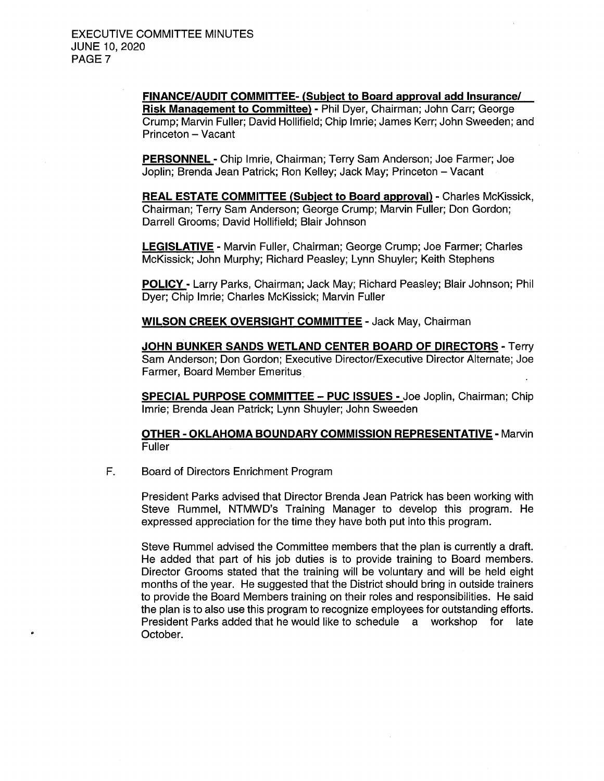FINANCE/ AUDIT COMMITTEE- ( Subject to Board approval add Insurance/ Risk Management to Committee) - Phil Dyer, Chairman; John Carr; George Crump; Marvin Fuller; David Hollifield; Chip Imrie; James Kerr; John Sweeden; and Princeton - Vacant

PERSONNEL - Chip Imrie, Chairman; Terry Sam Anderson; Joe Farmer; Joe Joplin; Brenda Jean Patrick; Ron Kelley; Jack May; Princeton — Vacant

REAL ESTATE COMMITTEE ( Subject to Board approval) - Charles McKissick, Chairman; Terry Sam Anderson; George Crump; Marvin Fuller; Don Gordon; Darrell Grooms; David Hollifield; Blair Johnson

LEGISLATIVE - Marvin Fuller, Chairman; George Crump; Joe Farmer; Charles McKissick; John Murphy; Richard Peasley; Lynn Shuyler; Keith Stephens

POLICY- Larry Parks, Chairman; Jack May; Richard Peasley; Blair Johnson; Phil Dyer; Chip Imrie; Charles McKissick; Marvin Fuller

WILSON CREEK OVERSIGHT COMMITTEE - Jack May, Chairman

JOHN BUNKER SANDS WETLAND CENTER BOARD OF DIRECTORS - Terry Sam Anderson; Don Gordon; Executive Director/Executive Director Alternate; Joe Farmer, Board Member Emeritus

SPECIAL PURPOSE COMMITTEE— PUC ISSUES - Joe Joplin, Chairman; Chip Imrie; Brenda Jean Patrick; Lynn Shuyler; John Sweeden

OTHER- OKLAHOMA BOUNDARY COMMISSION REPRESENTATIVE- Marvin Fuller

F. Board of Directors Enrichment Program

President Parks advised that Director Brenda Jean Patrick has been working with Steve Rummel, NTMWD's Training Manager to develop this program. He expressed appreciation for the time they have both put into this program.

Steve Rummel advised the Committee members that the plan is currently a draft. He added that part of his job duties is to provide training to Board members. Director Grooms stated that the training will be voluntary and will be held eight months of the year. He suggested that the District should bring in outside trainers to provide the Board Members training on their roles and responsibilities. He said the plan is to also use this program to recognize employees for outstanding efforts.<br>President Parks added that he would like to schedule a workshop for late President Parks added that he would like to schedule a workshop October.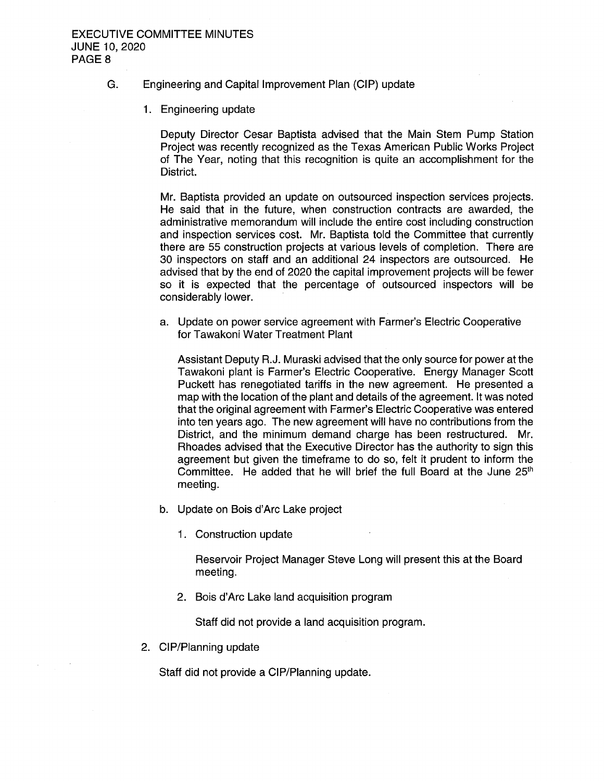# G. Engineering and Capital Improvement Plan ( CIP) update

1. Engineering update

Deputy Director Cesar Baptista advised that the Main Stem Pump Station Project was recently recognized as the Texas American Public Works Project of The Year, noting that this recognition is quite an accomplishment for the District.

Mr. Baptista provided an update on outsourced inspection services projects. He said that in the future, when construction contracts are awarded, the administrative memorandum will include the entire cost including construction and inspection services cost. Mr. Baptista told the Committee that currently there are <sup>55</sup> construction projects at various levels of completion. There are 30 inspectors on staff and an additional 24 inspectors are outsourced. He advised that by the end of 2020 the capital improvement projects will be fewer so it is expected that the percentage of outsourced inspectors will be considerably lower.

a. Update on power service agreement with Farmer's Electric Cooperative for Tawakoni Water Treatment Plant

Assistant Deputy R. J. Muraski advised that the only source for power at the Tawakoni plant is Farmer's Electric Cooperative. Energy Manager Scott Puckett has renegotiated tariffs in the new agreement. He presented a map with the location of the plant and details of the agreement. It was noted that the original agreement with Farmer's Electric Cooperative was entered into ten years ago. The new agreement will have no contributions from the District, and the minimum demand charge has been restructured. Mr. Rhoades advised that the Executive Director has the authority to sign this agreement but given the timeframe to do so, felt it prudent to inform the Committee. He added that he will brief the full Board at the June  $25<sup>th</sup>$ meeting.

- b. Update on Bois d'Arc Lake project
	- 1. Construction update

Reservoir Project Manager Steve Long will present this at the Board meeting.

2. Bois d'Arc Lake land acquisition program

Staff did not provide a land acquisition program.

2. CIP/Planning update

Staff did not provide a CIP/Planning update.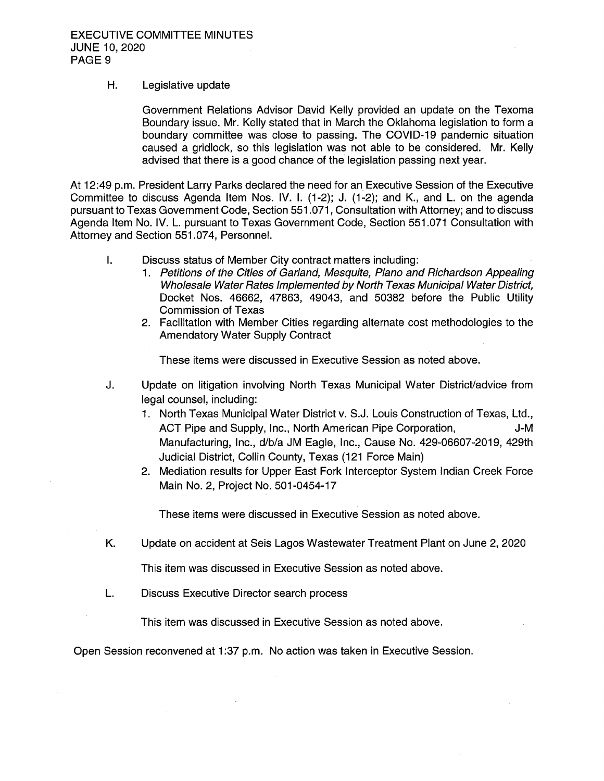# H. Legislative update

Government Relations Advisor David Kelly provided an update on the Texoma Boundary issue. Mr. Kelly stated that in March the Oklahoma legislation to form a boundary committee was close to passing. The COVID- 19 pandemic situation caused a gridlock, so this legislation was not able to be considered. Mr. Kelly advised that there is a good chance of the legislation passing next year.

At 12:49 p.m. President Larry Parks declared the need for an Executive Session of the Executive Committee to discuss Agenda Item Nos. IV. I. (1-2); J. (1-2); and K., and L. on the agenda pursuant to Texas Government Code, Section 551. 071, Consultation with Attorney; and to discuss Agenda Item No. IV. L. pursuant to Texas Government Code, Section 551. 071 Consultation with Attorney and Section 551. 074, Personnel.

- $\mathbf{L}$ Discuss status of Member City contract matters including:
	- 1. Petitions of the Cities of Garland, Mesquite, Plano and Richardson Appealing Wholesale Water Rates Implemented by North Texas Municipal Water District, Docket Nos. 46662, 47863, 49043, and 50382 before the. Public Utility Commission of Texas
	- 2. Facilitation with Member Cities regarding alternate cost methodologies to the Amendatory Water Supply Contract

These items were discussed in Executive Session as noted above.

- J. Update on litigation involving North Texas Municipal Water District/ advice from legal counsel, including:
	- 1. North Texas Municipal Water District v. S.J. Louis Construction of Texas, Ltd., ACT Pipe and Supply, Inc., North American Pipe Corporation, Summer J-M Manufacturing, Inc., d/b/a JM Eagle, Inc., Cause No. 429-06607-2019, 429th Judicial District, Collin County, Texas ( 121 Force Main)
	- 2. Mediation results for Upper East Fork Interceptor System Indian Creek Force Main No. 2, Project No. 501-0454-17

These items were discussed in Executive Session as noted above.

K. Update on accident at Seis Lagos Wastewater Treatment Plant on June 2, 2020

This item was discussed in Executive Session as noted above.

L. Discuss Executive Director search process

This item was discussed in Executive Session as noted above.

Open Session reconvened at 1:37 p.m. No action was taken in Executive Session.